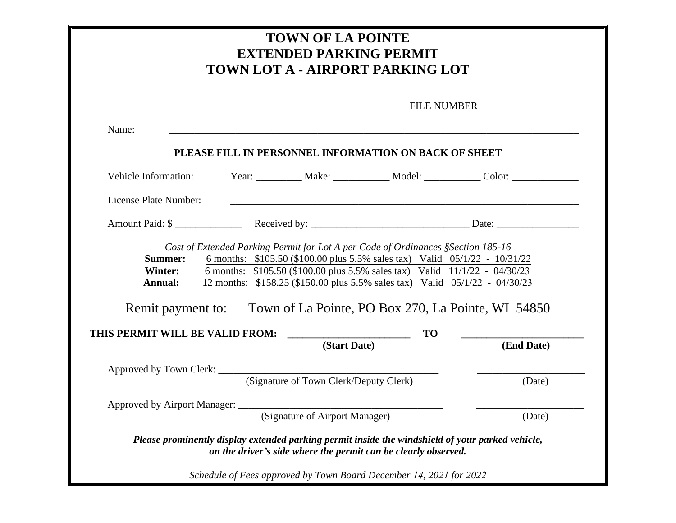| <b>TOWN OF LA POINTE</b><br><b>EXTENDED PARKING PERMIT</b><br>TOWN LOT A - AIRPORT PARKING LOT                                                                                                                                                                                                                                                                                                                                                                                               |                                                           |                                        |                                                                                                                                                                                                                                          |                                                                                   |  |
|----------------------------------------------------------------------------------------------------------------------------------------------------------------------------------------------------------------------------------------------------------------------------------------------------------------------------------------------------------------------------------------------------------------------------------------------------------------------------------------------|-----------------------------------------------------------|----------------------------------------|------------------------------------------------------------------------------------------------------------------------------------------------------------------------------------------------------------------------------------------|-----------------------------------------------------------------------------------|--|
|                                                                                                                                                                                                                                                                                                                                                                                                                                                                                              | <b>FILE NUMBER</b><br><u> 1990 - Jan Barbara Barat, p</u> |                                        |                                                                                                                                                                                                                                          |                                                                                   |  |
| Name:                                                                                                                                                                                                                                                                                                                                                                                                                                                                                        |                                                           |                                        | ,我们也不会有什么。""我们的人,我们也不会有什么?""我们的人,我们也不会有什么?""我们的人,我们也不会有什么?""我们的人,我们也不会有什么?""我们的人                                                                                                                                                         |                                                                                   |  |
|                                                                                                                                                                                                                                                                                                                                                                                                                                                                                              |                                                           |                                        | PLEASE FILL IN PERSONNEL INFORMATION ON BACK OF SHEET                                                                                                                                                                                    |                                                                                   |  |
| Vehicle Information:                                                                                                                                                                                                                                                                                                                                                                                                                                                                         |                                                           |                                        |                                                                                                                                                                                                                                          | Year: ____________ Make: ______________ Model: ______________ Color: ____________ |  |
| License Plate Number:                                                                                                                                                                                                                                                                                                                                                                                                                                                                        |                                                           |                                        |                                                                                                                                                                                                                                          |                                                                                   |  |
|                                                                                                                                                                                                                                                                                                                                                                                                                                                                                              | Amount Paid: \$                                           |                                        |                                                                                                                                                                                                                                          |                                                                                   |  |
| Cost of Extended Parking Permit for Lot A per Code of Ordinances § Section 185-16<br>6 months: \$105.50 (\$100.00 plus 5.5% sales tax) Valid 05/1/22 - 10/31/22<br><b>Summer:</b><br>6 months: \$105.50 (\$100.00 plus 5.5% sales tax) Valid 11/1/22 - 04/30/23<br>Winter:<br>12 months: \$158.25 (\$150.00 plus 5.5% sales tax) Valid 05/1/22 - 04/30/23<br>Annual:<br>Remit payment to: Town of La Pointe, PO Box 270, La Pointe, WI 54850<br><b>TO</b><br>THIS PERMIT WILL BE VALID FROM: |                                                           |                                        |                                                                                                                                                                                                                                          |                                                                                   |  |
|                                                                                                                                                                                                                                                                                                                                                                                                                                                                                              |                                                           | (Start Date)                           |                                                                                                                                                                                                                                          | (End Date)                                                                        |  |
| Approved by Town Clerk: ___________                                                                                                                                                                                                                                                                                                                                                                                                                                                          |                                                           | (Signature of Town Clerk/Deputy Clerk) |                                                                                                                                                                                                                                          | (Date)                                                                            |  |
| Approved by Airport Manager:                                                                                                                                                                                                                                                                                                                                                                                                                                                                 |                                                           |                                        |                                                                                                                                                                                                                                          |                                                                                   |  |
|                                                                                                                                                                                                                                                                                                                                                                                                                                                                                              |                                                           | (Signature of Airport Manager)         | Please prominently display extended parking permit inside the windshield of your parked vehicle,<br>on the driver's side where the permit can be clearly observed.<br>Schedule of Fees approved by Town Board December 14, 2021 for 2022 | (Date)                                                                            |  |